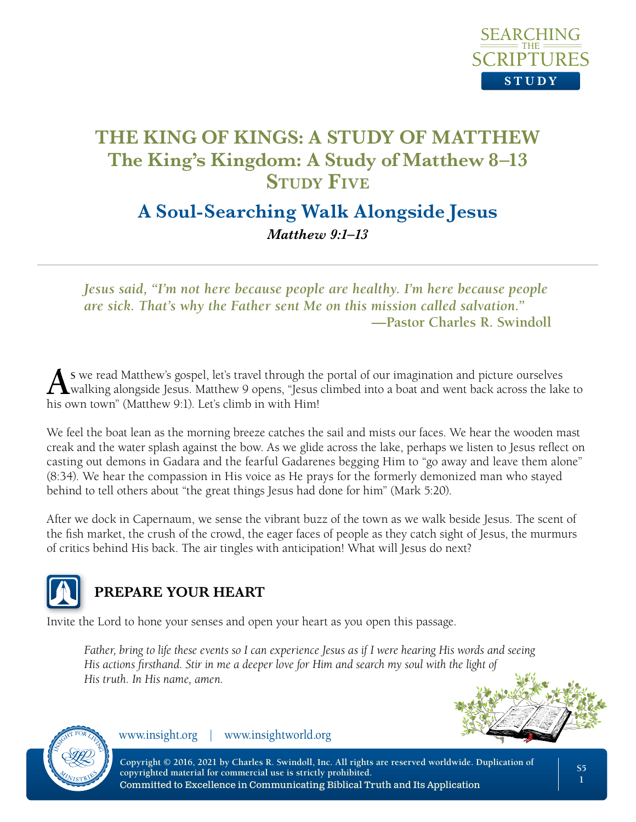

# **A Soul-Searching Walk Alongside Jesus**

*Matthew 9:1–13*

*Jesus said, "I'm not here because people are healthy. I'm here because people are sick. That's why the Father sent Me on this mission called salvation."* **—Pastor Charles R. Swindoll**

**As** we read Matthew's gospel, let's travel through the portal of our imagination and picture ourselves walking alongside Jesus. Matthew 9 opens, "Jesus climbed into a boat and went back across the lake to his own town" (Matthew 9:1). Let's climb in with Him!

We feel the boat lean as the morning breeze catches the sail and mists our faces. We hear the wooden mast creak and the water splash against the bow. As we glide across the lake, perhaps we listen to Jesus reflect on casting out demons in Gadara and the fearful Gadarenes begging Him to "go away and leave them alone" (8:34). We hear the compassion in His voice as He prays for the formerly demonized man who stayed behind to tell others about "the great things Jesus had done for him" (Mark 5:20).

After we dock in Capernaum, we sense the vibrant buzz of the town as we walk beside Jesus. The scent of the fish market, the crush of the crowd, the eager faces of people as they catch sight of Jesus, the murmurs of critics behind His back. The air tingles with anticipation! What will Jesus do next?



## **PREPARE YOUR HEART**

Invite the Lord to hone your senses and open your heart as you open this passage.

*Father, bring to life these events so I can experience Jesus as if I were hearing His words and seeing His actions firsthand. Stir in me a deeper love for Him and search my soul with the light of His truth. In His name, amen.* 





www.insight.org | www.insightworld.org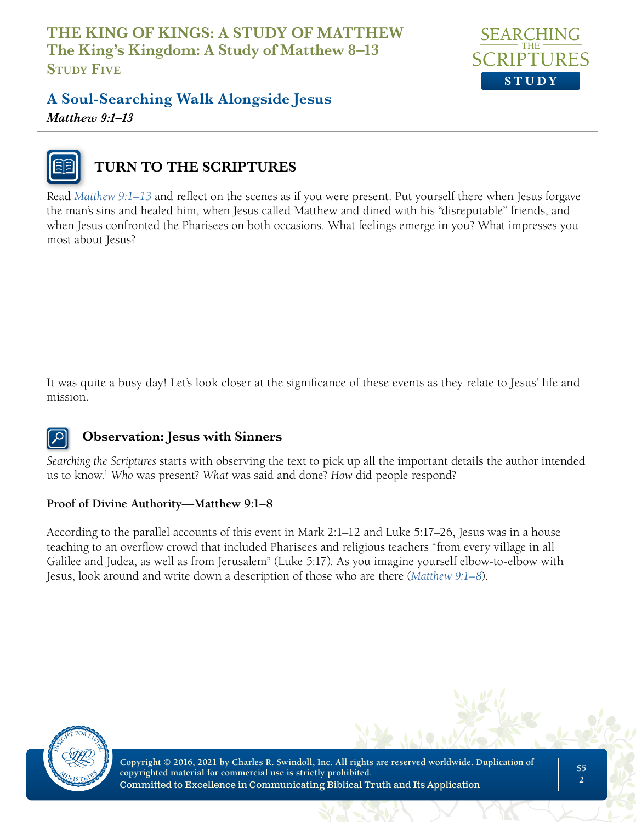

## **A Soul-Searching Walk Alongside Jesus** *Matthew 9:1–13*



## **TURN TO THE SCRIPTURES**

Read *Matthew 9:1–13* and reflect on the scenes as if you were present. Put yourself there when Jesus forgave the man's sins and healed him, when Jesus called Matthew and dined with his "disreputable" friends, and when Jesus confronted the Pharisees on both occasions. What feelings emerge in you? What impresses you most about Jesus?

It was quite a busy day! Let's look closer at the significance of these events as they relate to Jesus' life and mission.

### **Observation: Jesus with Sinners**

*Searching the Scriptures* starts with observing the text to pick up all the important details the author intended us to know.1 *Who* was present? *What* was said and done? *How* did people respond?

#### **Proof of Divine Authority—Matthew 9:1–8**

According to the parallel accounts of this event in Mark 2:1–12 and Luke 5:17–26, Jesus was in a house teaching to an overflow crowd that included Pharisees and religious teachers "from every village in all Galilee and Judea, as well as from Jerusalem" (Luke 5:17). As you imagine yourself elbow-to-elbow with Jesus, look around and write down a description of those who are there (*Matthew 9:1–8*).

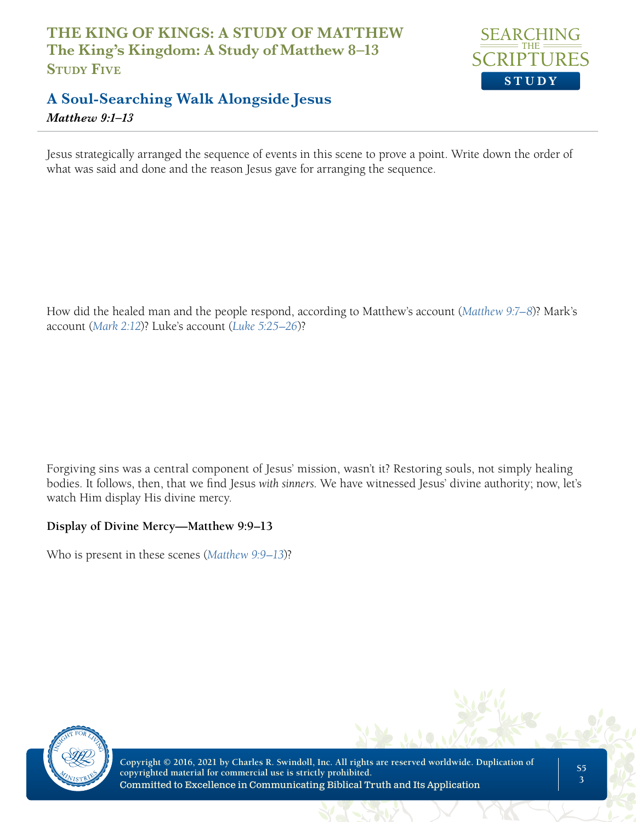

## **A Soul-Searching Walk Alongside Jesus** *Matthew 9:1–13*

Jesus strategically arranged the sequence of events in this scene to prove a point. Write down the order of what was said and done and the reason Jesus gave for arranging the sequence.

How did the healed man and the people respond, according to Matthew's account (*Matthew 9:7–8*)? Mark's account (*Mark 2:12*)? Luke's account (*Luke 5:25–26*)?

Forgiving sins was a central component of Jesus' mission, wasn't it? Restoring souls, not simply healing bodies. It follows, then, that we find Jesus *with sinners*. We have witnessed Jesus' divine authority; now, let's watch Him display His divine mercy.

#### **Display of Divine Mercy—Matthew 9:9–13**

Who is present in these scenes (*Matthew 9:9–13*)?

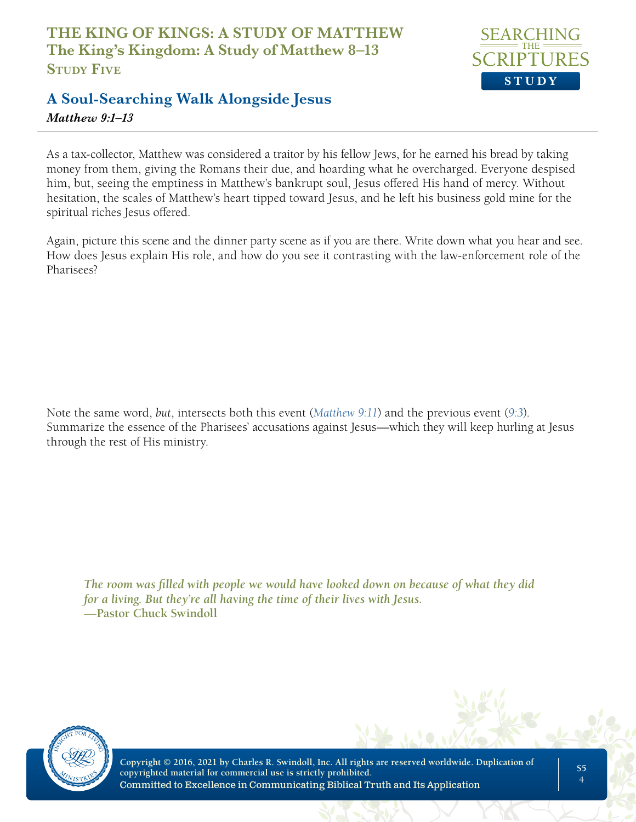

### **A Soul-Searching Walk Alongside Jesus** *Matthew 9:1–13*

As a tax-collector, Matthew was considered a traitor by his fellow Jews, for he earned his bread by taking money from them, giving the Romans their due, and hoarding what he overcharged. Everyone despised him, but, seeing the emptiness in Matthew's bankrupt soul, Jesus offered His hand of mercy. Without hesitation, the scales of Matthew's heart tipped toward Jesus, and he left his business gold mine for the spiritual riches Jesus offered.

Again, picture this scene and the dinner party scene as if you are there. Write down what you hear and see. How does Jesus explain His role, and how do you see it contrasting with the law-enforcement role of the Pharisees?

Note the same word, *but*, intersects both this event (*Matthew 9:11*) and the previous event (*9:3*). Summarize the essence of the Pharisees' accusations against Jesus—which they will keep hurling at Jesus through the rest of His ministry.

*The room was filled with people we would have looked down on because of what they did for a living. But they're all having the time of their lives with Jesus.*  **—Pastor Chuck Swindoll**

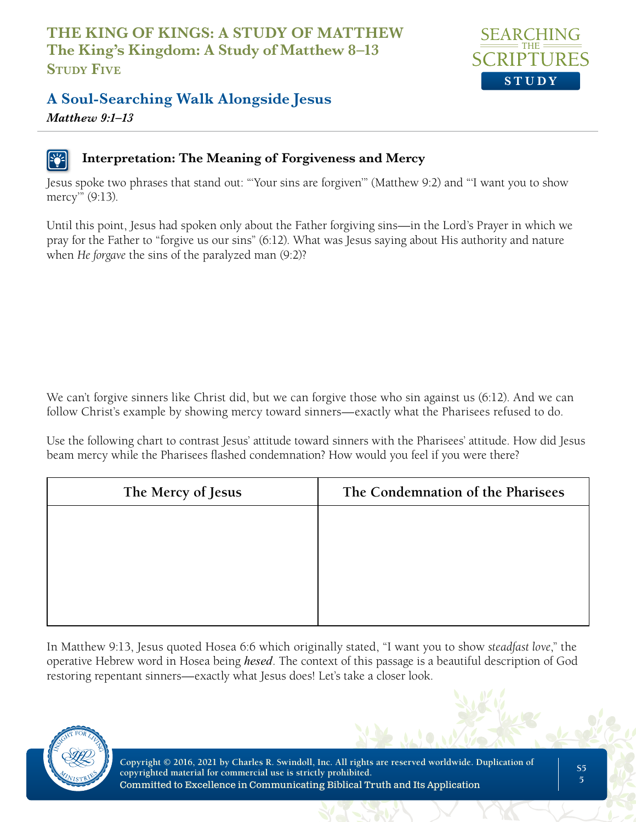

## **A Soul-Searching Walk Alongside Jesus**

*Matthew 9:1–13*

### **Interpretation: The Meaning of Forgiveness and Mercy**

Jesus spoke two phrases that stand out: "'Your sins are forgiven'" (Matthew 9:2) and "'I want you to show mercy'" (9:13).

Until this point, Jesus had spoken only about the Father forgiving sins—in the Lord's Prayer in which we pray for the Father to "forgive us our sins" (6:12). What was Jesus saying about His authority and nature when *He forgave* the sins of the paralyzed man (9:2)?

We can't forgive sinners like Christ did, but we can forgive those who sin against us (6:12). And we can follow Christ's example by showing mercy toward sinners—exactly what the Pharisees refused to do.

Use the following chart to contrast Jesus' attitude toward sinners with the Pharisees' attitude. How did Jesus beam mercy while the Pharisees flashed condemnation? How would you feel if you were there?

| The Condemnation of the Pharisees |
|-----------------------------------|
|                                   |
|                                   |
|                                   |
|                                   |
|                                   |

In Matthew 9:13, Jesus quoted Hosea 6:6 which originally stated, "I want you to show *steadfast love*," the operative Hebrew word in Hosea being *hesed*. The context of this passage is a beautiful description of God restoring repentant sinners—exactly what Jesus does! Let's take a closer look.

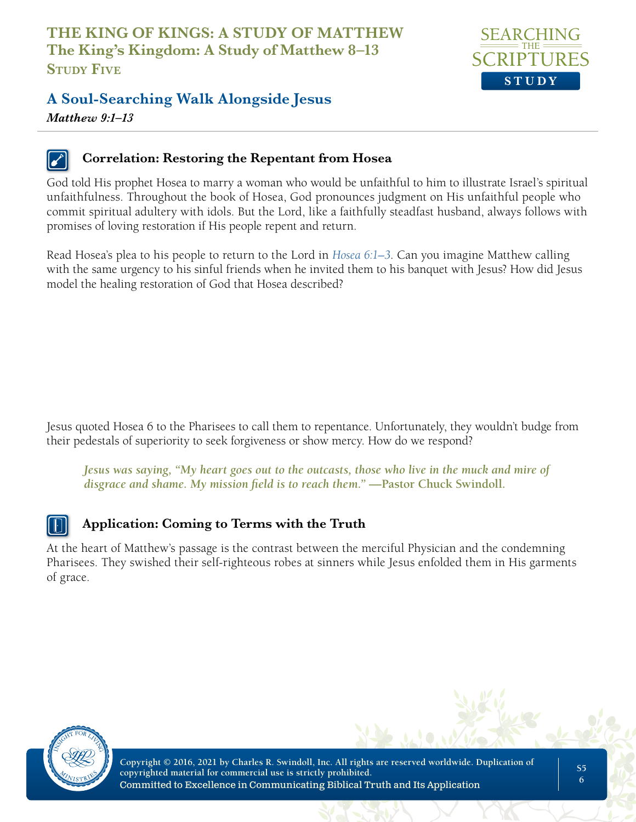

# **A Soul-Searching Walk Alongside Jesus**

*Matthew 9:1–13*

#### **Correlation: Restoring the Repentant from Hosea**

God told His prophet Hosea to marry a woman who would be unfaithful to him to illustrate Israel's spiritual unfaithfulness. Throughout the book of Hosea, God pronounces judgment on His unfaithful people who commit spiritual adultery with idols. But the Lord, like a faithfully steadfast husband, always follows with promises of loving restoration if His people repent and return.

Read Hosea's plea to his people to return to the Lord in *Hosea 6:1–3*. Can you imagine Matthew calling with the same urgency to his sinful friends when he invited them to his banquet with Jesus? How did Jesus model the healing restoration of God that Hosea described?

Jesus quoted Hosea 6 to the Pharisees to call them to repentance. Unfortunately, they wouldn't budge from their pedestals of superiority to seek forgiveness or show mercy. How do we respond?

*Jesus was saying, "My heart goes out to the outcasts, those who live in the muck and mire of disgrace and shame. My mission field is to reach them.*" — Pastor Chuck Swindoll.

### **Application: Coming to Terms with the Truth**

At the heart of Matthew's passage is the contrast between the merciful Physician and the condemning Pharisees. They swished their self-righteous robes at sinners while Jesus enfolded them in His garments of grace.